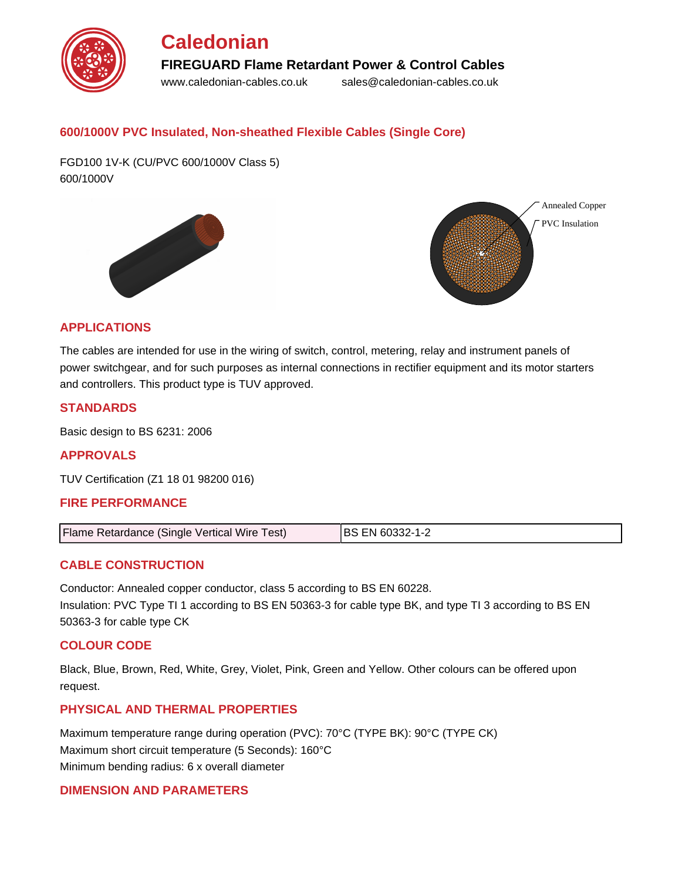

# **600/1000V PVC Insulated, Non-sheathed Flexible Cables (Single Core)**

FGD100 1V-K (CU/PVC 600/1000V Class 5) 600/1000V





# **APPLICATIONS**

The cables are intended for use in the wiring of switch, control, metering, relay and instrument panels of power switchgear, and for such purposes as internal connections in rectifier equipment and its motor starters and controllers. This product type is TUV approved.

# **STANDARDS**

Basic design to BS 6231: 2006

# **APPROVALS**

TUV Certification (Z1 18 01 98200 016)

# **FIRE PERFORMANCE**

| Flame Retardance (Single Vertical Wire Test) | <b>BS EN 60332-1-2</b> |
|----------------------------------------------|------------------------|
|----------------------------------------------|------------------------|

#### **CABLE CONSTRUCTION**

Conductor: Annealed copper conductor, class 5 according to BS EN 60228. Insulation: PVC Type TI 1 according to BS EN 50363-3 for cable type BK, and type TI 3 according to BS EN 50363-3 for cable type CK

#### **COLOUR CODE**

Black, Blue, Brown, Red, White, Grey, Violet, Pink, Green and Yellow. Other colours can be offered upon request.

#### **PHYSICAL AND THERMAL PROPERTIES**

Maximum temperature range during operation (PVC): 70°C (TYPE BK): 90°C (TYPE CK) Maximum short circuit temperature (5 Seconds): 160°C Minimum bending radius: 6 x overall diameter

# **DIMENSION AND PARAMETERS**